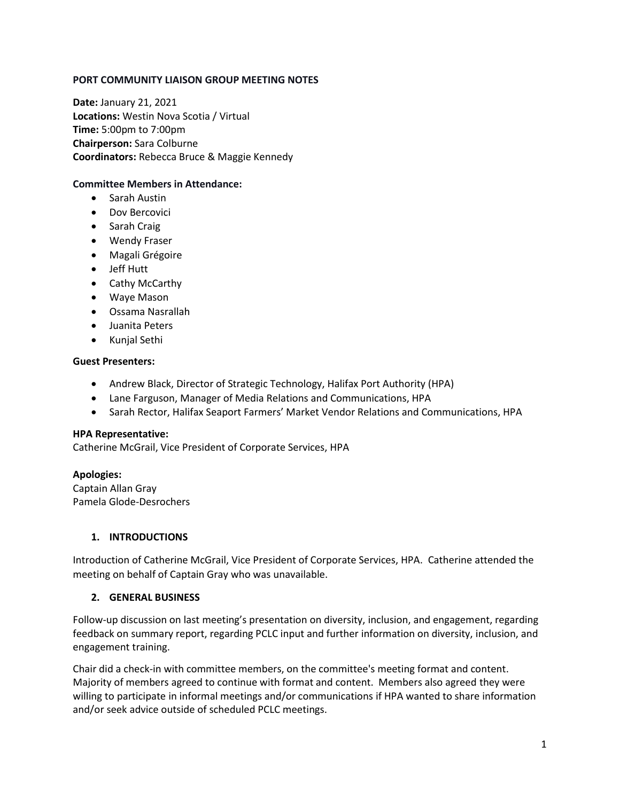### **PORT COMMUNITY LIAISON GROUP MEETING NOTES**

**Date:** January 21, 2021 **Locations:** Westin Nova Scotia / Virtual **Time:** 5:00pm to 7:00pm **Chairperson:** Sara Colburne **Coordinators:** Rebecca Bruce & Maggie Kennedy

### **Committee Members in Attendance:**

- Sarah Austin
- Dov Bercovici
- Sarah Craig
- Wendy Fraser
- Magali Grégoire
- Jeff Hutt
- Cathy McCarthy
- Waye Mason
- Ossama Nasrallah
- Juanita Peters
- Kunjal Sethi

### **Guest Presenters:**

- Andrew Black, Director of Strategic Technology, Halifax Port Authority (HPA)
- Lane Farguson, Manager of Media Relations and Communications, HPA
- Sarah Rector, Halifax Seaport Farmers' Market Vendor Relations and Communications, HPA

### **HPA Representative:**

Catherine McGrail, Vice President of Corporate Services, HPA

## **Apologies:**

Captain Allan Gray Pamela Glode-Desrochers

## **1. INTRODUCTIONS**

Introduction of Catherine McGrail, Vice President of Corporate Services, HPA. Catherine attended the meeting on behalf of Captain Gray who was unavailable.

### **2. GENERAL BUSINESS**

Follow-up discussion on last meeting's presentation on diversity, inclusion, and engagement, regarding feedback on summary report, regarding PCLC input and further information on diversity, inclusion, and engagement training.

Chair did a check-in with committee members, on the committee's meeting format and content. Majority of members agreed to continue with format and content. Members also agreed they were willing to participate in informal meetings and/or communications if HPA wanted to share information and/or seek advice outside of scheduled PCLC meetings.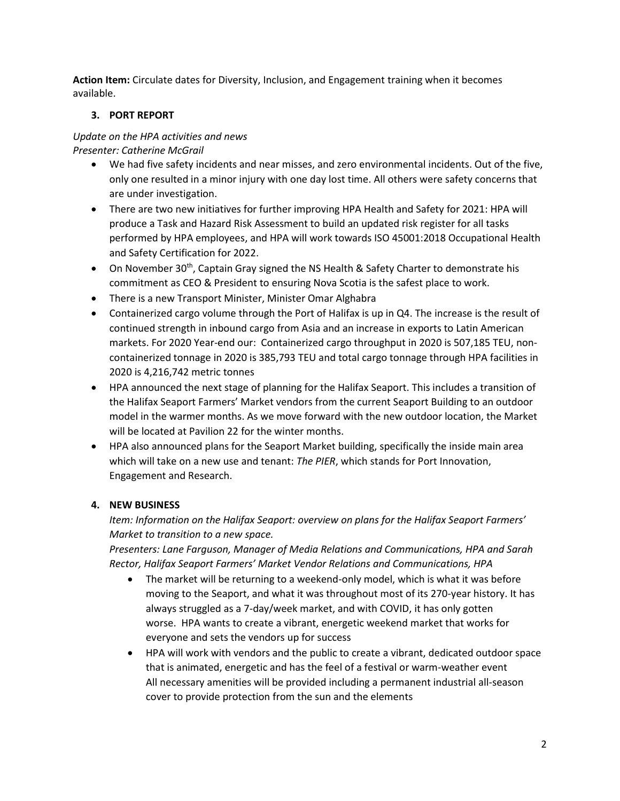**Action Item:** Circulate dates for Diversity, Inclusion, and Engagement training when it becomes available.

# **3. PORT REPORT**

### *Update on the HPA activities and news Presenter: Catherine McGrail*

- We had five safety incidents and near misses, and zero environmental incidents. Out of the five, only one resulted in a minor injury with one day lost time. All others were safety concerns that are under investigation.
- There are two new initiatives for further improving HPA Health and Safety for 2021: HPA will produce a Task and Hazard Risk Assessment to build an updated risk register for all tasks performed by HPA employees, and HPA will work towards ISO 45001:2018 Occupational Health and Safety Certification for 2022.
- On November 30<sup>th</sup>, Captain Gray signed the NS Health & Safety Charter to demonstrate his commitment as CEO & President to ensuring Nova Scotia is the safest place to work.
- There is a new Transport Minister, Minister Omar Alghabra
- Containerized cargo volume through the Port of Halifax is up in Q4. The increase is the result of continued strength in inbound cargo from Asia and an increase in exports to Latin American markets. For 2020 Year-end our: Containerized cargo throughput in 2020 is 507,185 TEU, noncontainerized tonnage in 2020 is 385,793 TEU and total cargo tonnage through HPA facilities in 2020 is 4,216,742 metric tonnes
- HPA announced the next stage of planning for the Halifax Seaport. This includes a transition of the Halifax Seaport Farmers' Market vendors from the current Seaport Building to an outdoor model in the warmer months. As we move forward with the new outdoor location, the Market will be located at Pavilion 22 for the winter months.
- HPA also announced plans for the Seaport Market building, specifically the inside main area which will take on a new use and tenant: *The PIER*, which stands for Port Innovation, Engagement and Research.

# **4. NEW BUSINESS**

*Item: Information on the Halifax Seaport: overview on plans for the Halifax Seaport Farmers' Market to transition to a new space.* 

*Presenters: Lane Farguson, Manager of Media Relations and Communications, HPA and Sarah Rector, Halifax Seaport Farmers' Market Vendor Relations and Communications, HPA* 

- The market will be returning to a weekend-only model, which is what it was before moving to the Seaport, and what it was throughout most of its 270-year history. It has always struggled as a 7-day/week market, and with COVID, it has only gotten worse. HPA wants to create a vibrant, energetic weekend market that works for everyone and sets the vendors up for success
- HPA will work with vendors and the public to create a vibrant, dedicated outdoor space that is animated, energetic and has the feel of a festival or warm-weather event All necessary amenities will be provided including a permanent industrial all-season cover to provide protection from the sun and the elements